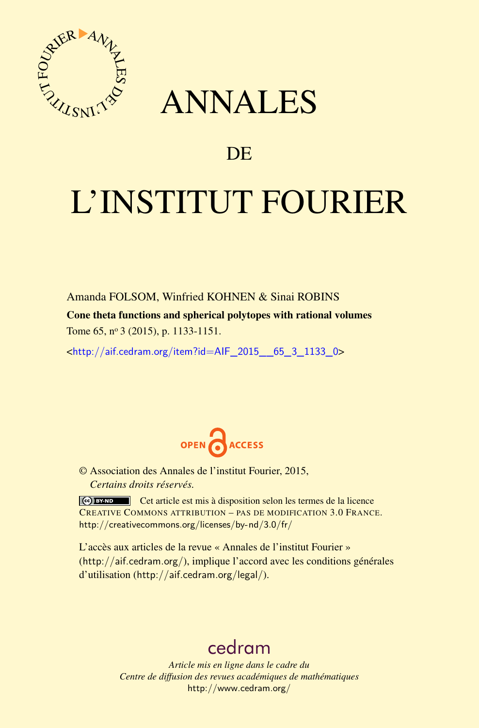

## ANNALES

### **DE**

# L'INSTITUT FOURIER

Amanda FOLSOM, Winfried KOHNEN & Sinai ROBINS

Cone theta functions and spherical polytopes with rational volumes

Tome 65, nº 3 (2015), p. 1133-1151.

 $\kappa$ http://aif.cedram.org/item?id=AIF 2015 65\_3\_1133\_0>



© Association des Annales de l'institut Fourier, 2015, *Certains droits réservés.*

Cet article est mis à disposition selon les termes de la licence CREATIVE COMMONS ATTRIBUTION – PAS DE MODIFICATION 3.0 FRANCE. <http://creativecommons.org/licenses/by-nd/3.0/fr/>

L'accès aux articles de la revue « Annales de l'institut Fourier » (<http://aif.cedram.org/>), implique l'accord avec les conditions générales d'utilisation (<http://aif.cedram.org/legal/>).

## [cedram](http://www.cedram.org/)

*Article mis en ligne dans le cadre du Centre de diffusion des revues académiques de mathématiques* <http://www.cedram.org/>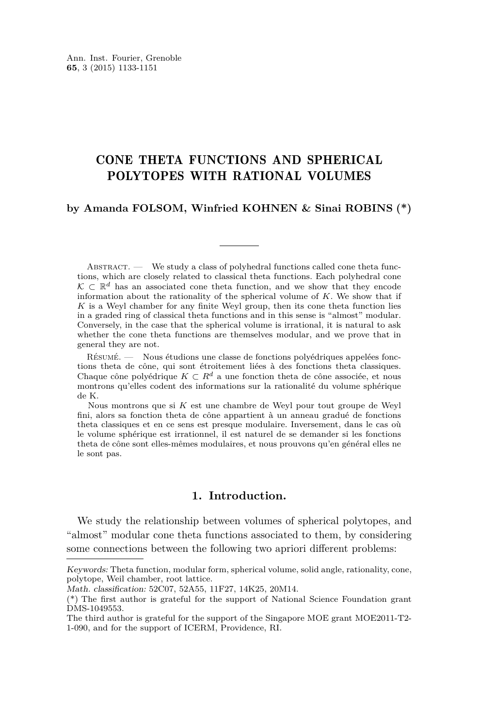#### CONE THETA FUNCTIONS AND SPHERICAL POLYTOPES WITH RATIONAL VOLUMES

#### **by Amanda FOLSOM, Winfried KOHNEN & Sinai ROBINS (\*)**

 $ABSTRACT.$  We study a class of polyhedral functions called cone theta functions, which are closely related to classical theta functions. Each polyhedral cone  $\mathcal{K} \subset \mathbb{R}^d$  has an associated cone theta function, and we show that they encode information about the rationality of the spherical volume of *K*. We show that if *K* is a Weyl chamber for any finite Weyl group, then its cone theta function lies in a graded ring of classical theta functions and in this sense is "almost" modular. Conversely, in the case that the spherical volume is irrational, it is natural to ask whether the cone theta functions are themselves modular, and we prove that in general they are not.

Résumé. — Nous étudions une classe de fonctions polyédriques appelées fonctions theta de cône, qui sont étroitement liées à des fonctions theta classiques. Chaque cône polyédrique  $K \subset R^d$  a une fonction theta de cône associée, et nous montrons qu'elles codent des informations sur la rationalité du volume sphérique de K.

Nous montrons que si *K* est une chambre de Weyl pour tout groupe de Weyl fini, alors sa fonction theta de cône appartient à un anneau gradué de fonctions theta classiques et en ce sens est presque modulaire. Inversement, dans le cas où le volume sphérique est irrationnel, il est naturel de se demander si les fonctions theta de cône sont elles-mêmes modulaires, et nous prouvons qu'en général elles ne le sont pas.

#### **1. Introduction.**

We study the relationship between volumes of spherical polytopes, and "almost" modular cone theta functions associated to them, by considering some connections between the following two apriori different problems:

Keywords: Theta function, modular form, spherical volume, solid angle, rationality, cone, polytope, Weil chamber, root lattice.

Math. classification: 52C07, 52A55, 11F27, 14K25, 20M14.

<sup>(\*)</sup> The first author is grateful for the support of National Science Foundation grant DMS-1049553.

The third author is grateful for the support of the Singapore MOE grant MOE2011-T2- 1-090, and for the support of ICERM, Providence, RI.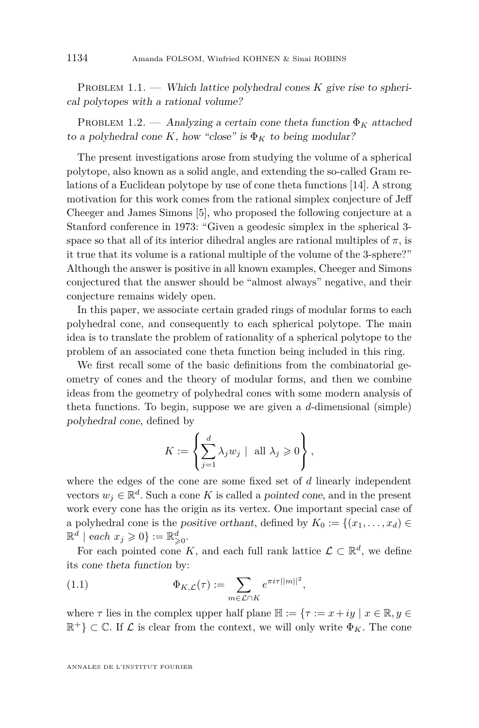<span id="page-2-0"></span>PROBLEM 1.1. — Which lattice polyhedral cones *K* give rise to spherical polytopes with a rational volume?

PROBLEM 1.2. — Analyzing a certain cone theta function  $\Phi_K$  attached to a polyhedral cone *K*, how "close" is  $\Phi_K$  to being modular?

The present investigations arose from studying the volume of a spherical polytope, also known as a solid angle, and extending the so-called Gram relations of a Euclidean polytope by use of cone theta functions [\[14\]](#page-18-0). A strong motivation for this work comes from the rational simplex conjecture of Jeff Cheeger and James Simons [\[5\]](#page-18-0), who proposed the following conjecture at a Stanford conference in 1973: "Given a geodesic simplex in the spherical 3 space so that all of its interior dihedral angles are rational multiples of  $\pi$ , is it true that its volume is a rational multiple of the volume of the 3-sphere?" Although the answer is positive in all known examples, Cheeger and Simons conjectured that the answer should be "almost always" negative, and their conjecture remains widely open.

In this paper, we associate certain graded rings of modular forms to each polyhedral cone, and consequently to each spherical polytope. The main idea is to translate the problem of rationality of a spherical polytope to the problem of an associated cone theta function being included in this ring.

We first recall some of the basic definitions from the combinatorial geometry of cones and the theory of modular forms, and then we combine ideas from the geometry of polyhedral cones with some modern analysis of theta functions. To begin, suppose we are given a *d*-dimensional (simple) polyhedral cone, defined by

$$
K := \left\{ \sum_{j=1}^d \lambda_j w_j \mid \text{ all } \lambda_j \geqslant 0 \right\},\
$$

where the edges of the cone are some fixed set of *d* linearly independent vectors  $w_j \in \mathbb{R}^d$ . Such a cone *K* is called a pointed cone, and in the present work every cone has the origin as its vertex. One important special case of a polyhedral cone is the *positive orthant*, defined by  $K_0 := \{(x_1, \ldots, x_d) \in$  $\mathbb{R}^d \mid$  each  $x_j \geqslant 0$  } :=  $\mathbb{R}^d_{\geqslant 0}$ .

For each pointed cone K, and each full rank lattice  $\mathcal{L} \subset \mathbb{R}^d$ , we define its cone theta function by:

(1.1) 
$$
\Phi_{K,\mathcal{L}}(\tau) := \sum_{m \in \mathcal{L} \cap K} e^{\pi i \tau ||m||^2},
$$

where *τ* lies in the complex upper half plane  $\mathbb{H} := \{ \tau : = x + iy \mid x \in \mathbb{R}, y \in$  $\mathbb{R}^+\}\subset\mathbb{C}$ . If  $\mathcal L$  is clear from the context, we will only write  $\Phi_K$ . The cone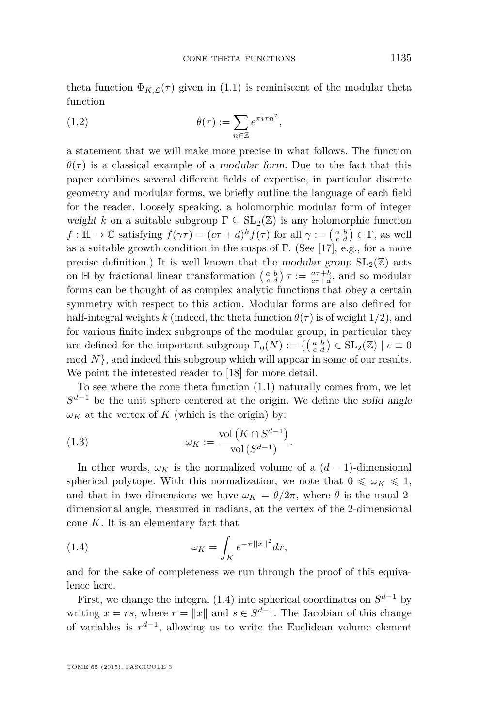<span id="page-3-0"></span>theta function  $\Phi_{K,\mathcal{L}}(\tau)$  given in [\(1.1\)](#page-2-0) is reminiscent of the modular theta function

(1.2) 
$$
\theta(\tau) := \sum_{n \in \mathbb{Z}} e^{\pi i \tau n^2},
$$

a statement that we will make more precise in what follows. The function  $\theta(\tau)$  is a classical example of a modular form. Due to the fact that this paper combines several different fields of expertise, in particular discrete geometry and modular forms, we briefly outline the language of each field for the reader. Loosely speaking, a holomorphic modular form of integer weight *k* on a suitable subgroup  $\Gamma \subseteq SL_2(\mathbb{Z})$  is any holomorphic function *f* :  $\mathbb{H} \to \mathbb{C}$  satisfying  $f(\gamma \tau) = (c\tau + d)^k f(\tau)$  for all  $\gamma := \begin{pmatrix} a & b \\ c & d \end{pmatrix} \in \Gamma$ , as well as a suitable growth condition in the cusps of  $\Gamma$ . (See [\[17\]](#page-18-0), e.g., for a more precise definition.) It is well known that the modular group  $SL_2(\mathbb{Z})$  acts on  $\mathbb{H}$  by fractional linear transformation  $\begin{pmatrix} a & b \\ c & d \end{pmatrix} \tau := \frac{a\tau+b}{c\tau+d}$ , and so modular forms can be thought of as complex analytic functions that obey a certain symmetry with respect to this action. Modular forms are also defined for half-integral weights *k* (indeed, the theta function  $\theta(\tau)$  is of weight 1/2), and for various finite index subgroups of the modular group; in particular they are defined for the important subgroup  $\Gamma_0(N) := \{ \begin{pmatrix} a & b \\ c & d \end{pmatrix} \in SL_2(\mathbb{Z}) \mid c \equiv 0 \}$ mod N, and indeed this subgroup which will appear in some of our results. We point the interested reader to [\[18\]](#page-18-0) for more detail.

To see where the cone theta function [\(1.1\)](#page-2-0) naturally comes from, we let  $S^{d-1}$  be the unit sphere centered at the origin. We define the solid angle  $\omega_K$  at the vertex of *K* (which is the origin) by:

(1.3) 
$$
\omega_K := \frac{\text{vol}(K \cap S^{d-1})}{\text{vol}(S^{d-1})}.
$$

In other words,  $\omega_K$  is the normalized volume of a  $(d-1)$ -dimensional spherical polytope. With this normalization, we note that  $0 \leq \omega_K \leq 1$ , and that in two dimensions we have  $\omega_K = \theta/2\pi$ , where  $\theta$  is the usual 2dimensional angle, measured in radians, at the vertex of the 2-dimensional cone *K*. It is an elementary fact that

$$
(1.4) \t\t \t\t \omega_K = \int_K e^{-\pi ||x||^2} dx,
$$

and for the sake of completeness we run through the proof of this equivalence here.

First, we change the integral (1.4) into spherical coordinates on  $S^{d-1}$  by writing  $x = rs$ , where  $r = ||x||$  and  $s \in S^{d-1}$ . The Jacobian of this change of variables is  $r^{d-1}$ , allowing us to write the Euclidean volume element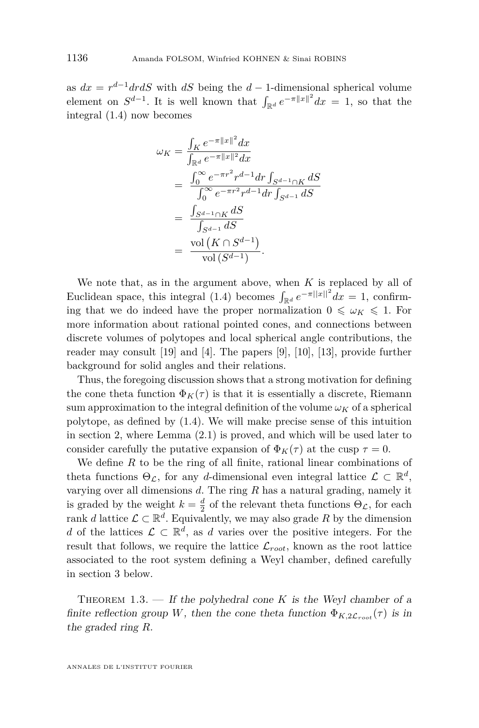<span id="page-4-0"></span>as  $dx = r^{d-1}dr dS$  with  $dS$  being the  $d-1$ -dimensional spherical volume element on  $S^{d-1}$ . It is well known that  $\int_{\mathbb{R}^d} e^{-\pi ||x||^2} dx = 1$ , so that the integral [\(1.4\)](#page-3-0) now becomes

$$
\omega_K = \frac{\int_K e^{-\pi ||x||^2} dx}{\int_{\mathbb{R}^d} e^{-\pi ||x||^2} dx}
$$
  
= 
$$
\frac{\int_0^\infty e^{-\pi r^2} r^{d-1} dr \int_{S^{d-1} \cap K} dS}{\int_0^\infty e^{-\pi r^2} r^{d-1} dr \int_{S^{d-1}} dS}
$$
  
= 
$$
\frac{\int_{S^{d-1} \cap K} dS}{\int_{S^{d-1}} dS}
$$
  
= 
$$
\frac{\text{vol}(K \cap S^{d-1})}{\text{vol}(S^{d-1})}.
$$

We note that, as in the argument above, when *K* is replaced by all of Euclidean space, this integral [\(1.4\)](#page-3-0) becomes  $\int_{\mathbb{R}^d} e^{-\pi ||x||^2} dx = 1$ , confirming that we do indeed have the proper normalization  $0 \leq \omega_K \leq 1$ . For more information about rational pointed cones, and connections between discrete volumes of polytopes and local spherical angle contributions, the reader may consult [\[19\]](#page-18-0) and [\[4\]](#page-17-0). The papers [\[9\]](#page-18-0), [\[10\]](#page-18-0), [\[13\]](#page-18-0), provide further background for solid angles and their relations.

Thus, the foregoing discussion shows that a strong motivation for defining the cone theta function  $\Phi_K(\tau)$  is that it is essentially a discrete, Riemann sum approximation to the integral definition of the volume  $\omega_K$  of a spherical polytope, as defined by [\(1.4\)](#page-3-0). We will make precise sense of this intuition in section [2,](#page-7-0) where Lemma [\(2.1\)](#page-7-0) is proved, and which will be used later to consider carefully the putative expansion of  $\Phi_K(\tau)$  at the cusp  $\tau = 0$ .

We define *R* to be the ring of all finite, rational linear combinations of theta functions  $\Theta_{\mathcal{L}}$ , for any *d*-dimensional even integral lattice  $\mathcal{L} \subset \mathbb{R}^d$ , varying over all dimensions *d*. The ring *R* has a natural grading, namely it is graded by the weight  $k = \frac{d}{2}$  of the relevant theta functions  $\Theta_{\mathcal{L}}$ , for each rank *d* lattice  $\mathcal{L} \subset \mathbb{R}^d$ . Equivalently, we may also grade R by the dimension *d* of the lattices  $\mathcal{L} \subset \mathbb{R}^d$ , as *d* varies over the positive integers. For the result that follows, we require the lattice  $\mathcal{L}_{root}$ , known as the root lattice associated to the root system defining a Weyl chamber, defined carefully in section [3](#page-8-0) below.

THEOREM  $1.3.$  — If the polyhedral cone K is the Weyl chamber of a finite reflection group *W*, then the cone theta function  $\Phi_{K,2\mathcal{L}_{root}}(\tau)$  is in the graded ring *R*.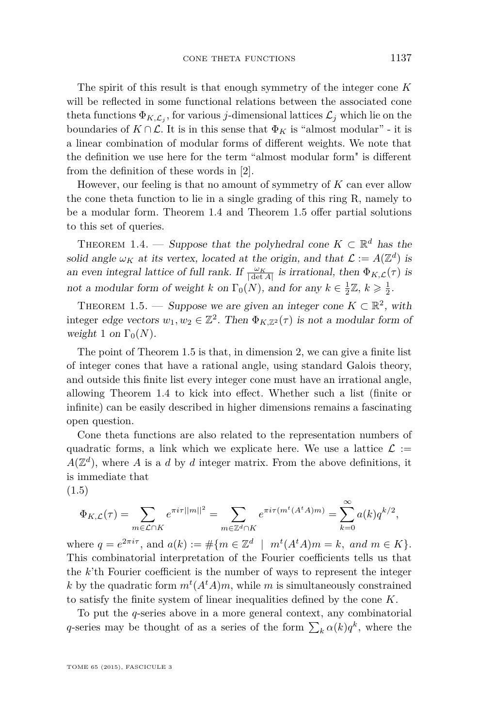<span id="page-5-0"></span>The spirit of this result is that enough symmetry of the integer cone *K* will be reflected in some functional relations between the associated cone theta functions  $\Phi_{K,\mathcal{L}_j}$ , for various *j*-dimensional lattices  $\mathcal{L}_j$  which lie on the boundaries of  $K \cap \mathcal{L}$ . It is in this sense that  $\Phi_K$  is "almost modular" - it is a linear combination of modular forms of different weights. We note that the definition we use here for the term "almost modular form" is different from the definition of these words in [\[2\]](#page-17-0).

However, our feeling is that no amount of symmetry of *K* can ever allow the cone theta function to lie in a single grading of this ring R, namely to be a modular form. Theorem 1.4 and Theorem 1.5 offer partial solutions to this set of queries.

THEOREM 1.4. — Suppose that the polyhedral cone  $K \subset \mathbb{R}^d$  has the solid angle  $\omega_K$  at its vertex, located at the origin, and that  $\mathcal{L} := A(\mathbb{Z}^d)$  is an even integral lattice of full rank. If  $\frac{\omega_K}{|\det A|}$  is irrational, then  $\Phi_{K,\mathcal{L}}(\tau)$  is not a modular form of weight *k* on  $\Gamma_0(N)$ , and for any  $k \in \frac{1}{2}\mathbb{Z}, k \geq \frac{1}{2}$ .

THEOREM 1.5. — Suppose we are given an integer cone  $K \subset \mathbb{R}^2$ , with integer edge vectors  $w_1, w_2 \in \mathbb{Z}^2$ . Then  $\Phi_{K,\mathbb{Z}^2}(\tau)$  is not a modular form of weight 1 on  $\Gamma_0(N)$ .

The point of Theorem 1.5 is that, in dimension 2, we can give a finite list of integer cones that have a rational angle, using standard Galois theory, and outside this finite list every integer cone must have an irrational angle, allowing Theorem 1.4 to kick into effect. Whether such a list (finite or infinite) can be easily described in higher dimensions remains a fascinating open question.

Cone theta functions are also related to the representation numbers of quadratic forms, a link which we explicate here. We use a lattice  $\mathcal{L} :=$  $A(\mathbb{Z}^d)$ , where *A* is a *d* by *d* integer matrix. From the above definitions, it is immediate that

(1.5)

$$
\Phi_{K,\mathcal{L}}(\tau) = \sum_{m \in \mathcal{L} \cap K} e^{\pi i \tau ||m||^2} = \sum_{m \in \mathbb{Z}^d \cap K} e^{\pi i \tau (m^t (A^t A)m)} = \sum_{k=0}^{\infty} a(k) q^{k/2},
$$

where  $q = e^{2\pi i \tau}$ , and  $a(k) := \#\{m \in \mathbb{Z}^d \mid m^t(A^t A)m = k, \text{ and } m \in K\}.$ This combinatorial interpretation of the Fourier coefficients tells us that the *k*'th Fourier coefficient is the number of ways to represent the integer *k* by the quadratic form  $m^t(A^tA)m$ , while *m* is simultaneously constrained to satisfy the finite system of linear inequalities defined by the cone *K*.

To put the *q*-series above in a more general context, any combinatorial *q*-series may be thought of as a series of the form  $\sum_{k} \alpha(k)q^k$ , where the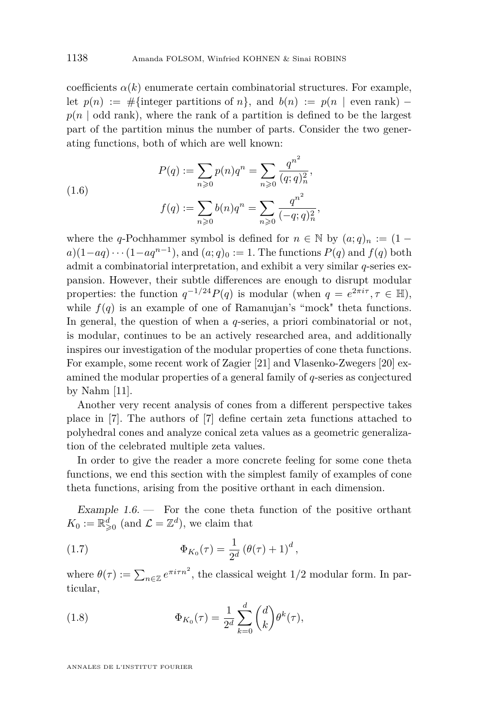<span id="page-6-0"></span>coefficients  $\alpha(k)$  enumerate certain combinatorial structures. For example, let  $p(n) := #$ {integer partitions of *n*}, and  $b(n) := p(n \mid \text{even rank})$  $p(n \mid \text{odd rank})$ , where the rank of a partition is defined to be the largest part of the partition minus the number of parts. Consider the two generating functions, both of which are well known:

(1.6) 
$$
P(q) := \sum_{n\geqslant 0} p(n)q^n = \sum_{n\geqslant 0} \frac{q^{n^2}}{(q;q)_n^2},
$$

$$
f(q) := \sum_{n\geqslant 0} b(n)q^n = \sum_{n\geqslant 0} \frac{q^{n^2}}{(-q;q)_n^2},
$$

where the *q*-Pochhammer symbol is defined for  $n \in \mathbb{N}$  by  $(a;q)_n := (1$  $a)(1-aq)\cdots(1-aq^{n-1}),$  and  $(a;q)_0:=1$ . The functions  $P(q)$  and  $f(q)$  both admit a combinatorial interpretation, and exhibit a very similar *q*-series expansion. However, their subtle differences are enough to disrupt modular properties: the function  $q^{-1/24}P(q)$  is modular (when  $q = e^{2\pi i\tau}, \tau \in \mathbb{H}$ ), while  $f(q)$  is an example of one of Ramanujan's "mock" theta functions. In general, the question of when a *q*-series, a priori combinatorial or not, is modular, continues to be an actively researched area, and additionally inspires our investigation of the modular properties of cone theta functions. For example, some recent work of Zagier [\[21\]](#page-18-0) and Vlasenko-Zwegers [\[20\]](#page-18-0) examined the modular properties of a general family of *q*-series as conjectured by Nahm [\[11\]](#page-18-0).

Another very recent analysis of cones from a different perspective takes place in [\[7\]](#page-18-0). The authors of [\[7\]](#page-18-0) define certain zeta functions attached to polyhedral cones and analyze conical zeta values as a geometric generalization of the celebrated multiple zeta values.

In order to give the reader a more concrete feeling for some cone theta functions, we end this section with the simplest family of examples of cone theta functions, arising from the positive orthant in each dimension.

Example  $1.6$  — For the cone theta function of the positive orthant  $K_0 := \mathbb{R}^d_{\geqslant 0}$  (and  $\mathcal{L} = \mathbb{Z}^d$ ), we claim that

(1.7) 
$$
\Phi_{K_0}(\tau) = \frac{1}{2^d} (\theta(\tau) + 1)^d,
$$

where  $\theta(\tau) := \sum_{n \in \mathbb{Z}} e^{\pi i \tau n^2}$ , the classical weight 1/2 modular form. In particular,

(1.8) 
$$
\Phi_{K_0}(\tau) = \frac{1}{2^d} \sum_{k=0}^d \binom{d}{k} \theta^k(\tau),
$$

ANNALES DE L'INSTITUT FOURIER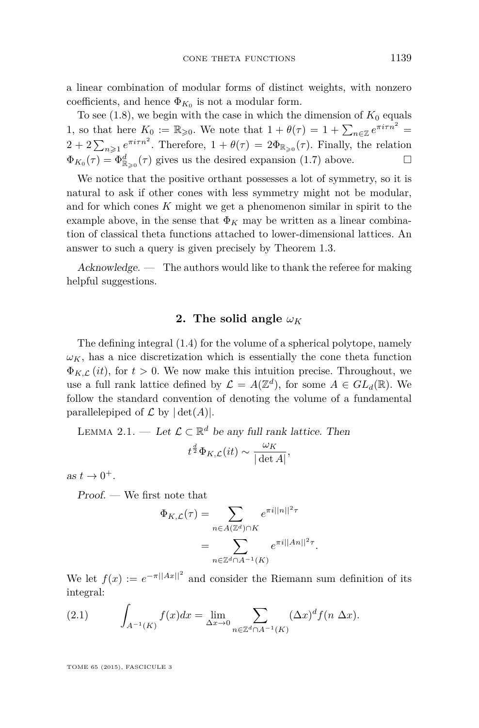<span id="page-7-0"></span>a linear combination of modular forms of distinct weights, with nonzero coefficients, and hence  $\Phi_{K_0}$  is not a modular form.

To see  $(1.8)$ , we begin with the case in which the dimension of  $K_0$  equals 1, so that here  $K_0 := \mathbb{R}_{\geqslant 0}$ . We note that  $1 + \theta(\tau) = 1 + \sum_{n \in \mathbb{Z}} e^{\pi i \tau n^2} =$  $2 + 2\sum_{n\geqslant1}e^{\pi i\tau n^2}$ . Therefore,  $1 + \theta(\tau) = 2\Phi_{\mathbb{R}_{\geqslant0}}(\tau)$ . Finally, the relation  $\Phi_{K_0}(\tau) = \Phi_{\mathbb{R}_{\geq 0}}^d(\tau)$  gives us the desired expansion [\(1.7\)](#page-6-0) above.

We notice that the positive orthant possesses a lot of symmetry, so it is natural to ask if other cones with less symmetry might not be modular, and for which cones *K* might we get a phenomenon similar in spirit to the example above, in the sense that  $\Phi_K$  may be written as a linear combination of classical theta functions attached to lower-dimensional lattices. An answer to such a query is given precisely by Theorem [1.3.](#page-4-0)

 $Acknowledge.$  The authors would like to thank the referee for making helpful suggestions.

#### **2.** The solid angle  $\omega_K$

The defining integral [\(1.4\)](#page-3-0) for the volume of a spherical polytope, namely  $\omega_K$ , has a nice discretization which is essentially the cone theta function  $\Phi_{K,\mathcal{L}}(it)$ , for  $t > 0$ . We now make this intuition precise. Throughout, we use a full rank lattice defined by  $\mathcal{L} = A(\mathbb{Z}^d)$ , for some  $A \in GL_d(\mathbb{R})$ . We follow the standard convention of denoting the volume of a fundamental parallelepiped of  $\mathcal L$  by  $|\det(A)|$ .

LEMMA 2.1. — Let  $\mathcal{L} \subset \mathbb{R}^d$  be any full rank lattice. Then

$$
t^{\frac{d}{2}}\Phi_{K,\mathcal{L}}(it) \sim \frac{\omega_K}{|\det A|},
$$

as  $t \to 0^+$ .

Proof. — We first note that

$$
\Phi_{K,\mathcal{L}}(\tau) = \sum_{n \in A(\mathbb{Z}^d) \cap K} e^{\pi i ||n||^2 \tau}
$$

$$
= \sum_{n \in \mathbb{Z}^d \cap A^{-1}(K)} e^{\pi i ||A_n||^2 \tau}.
$$

We let  $f(x) := e^{-\pi ||Ax||^2}$  and consider the Riemann sum definition of its integral:

(2.1) 
$$
\int_{A^{-1}(K)} f(x)dx = \lim_{\Delta x \to 0} \sum_{n \in \mathbb{Z}^d \cap A^{-1}(K)} (\Delta x)^d f(n \Delta x).
$$

TOME 65 (2015), FASCICULE 3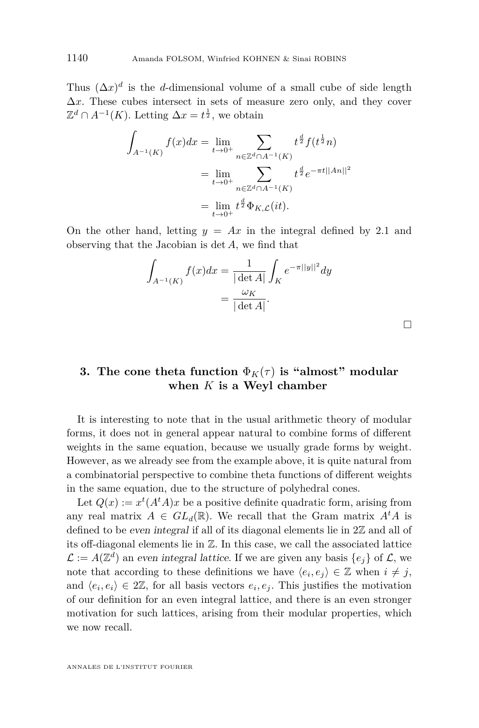<span id="page-8-0"></span>Thus  $(\Delta x)^d$  is the *d*-dimensional volume of a small cube of side length  $\Delta x$ . These cubes intersect in sets of measure zero only, and they cover  $\mathbb{Z}^d \cap A^{-1}(K)$ . Letting  $\Delta x = t^{\frac{1}{2}}$ , we obtain

$$
\int_{A^{-1}(K)} f(x)dx = \lim_{t \to 0^{+}} \sum_{n \in \mathbb{Z}^{d} \cap A^{-1}(K)} t^{\frac{d}{2}} f(t^{\frac{1}{2}} n)
$$
\n
$$
= \lim_{t \to 0^{+}} \sum_{n \in \mathbb{Z}^{d} \cap A^{-1}(K)} t^{\frac{d}{2}} e^{-\pi t ||A n||^{2}}
$$
\n
$$
= \lim_{t \to 0^{+}} t^{\frac{d}{2}} \Phi_{K,\mathcal{L}}(it).
$$

On the other hand, letting  $y = Ax$  in the integral defined by [2.1](#page-7-0) and observing that the Jacobian is det *A*, we find that

$$
\int_{A^{-1}(K)} f(x)dx = \frac{1}{|\det A|} \int_K e^{-\pi ||y||^2} dy
$$

$$
= \frac{\omega_K}{|\det A|}.
$$

 $\Box$ 

#### **3.** The cone theta function  $\Phi_K(\tau)$  is "almost" modular **when** *K* **is a Weyl chamber**

It is interesting to note that in the usual arithmetic theory of modular forms, it does not in general appear natural to combine forms of different weights in the same equation, because we usually grade forms by weight. However, as we already see from the example above, it is quite natural from a combinatorial perspective to combine theta functions of different weights in the same equation, due to the structure of polyhedral cones.

Let  $Q(x) := x^t (A^t A)x$  be a positive definite quadratic form, arising from any real matrix  $A \in GL_d(\mathbb{R})$ . We recall that the Gram matrix  $A^t A$  is defined to be even integral if all of its diagonal elements lie in 2Z and all of its off-diagonal elements lie in Z. In this case, we call the associated lattice  $\mathcal{L} := A(\mathbb{Z}^d)$  an even integral lattice. If we are given any basis  $\{e_j\}$  of  $\mathcal{L}$ , we note that according to these definitions we have  $\langle e_i, e_j \rangle \in \mathbb{Z}$  when  $i \neq j$ , and  $\langle e_i, e_i \rangle \in 2\mathbb{Z}$ , for all basis vectors  $e_i, e_j$ . This justifies the motivation of our definition for an even integral lattice, and there is an even stronger motivation for such lattices, arising from their modular properties, which we now recall.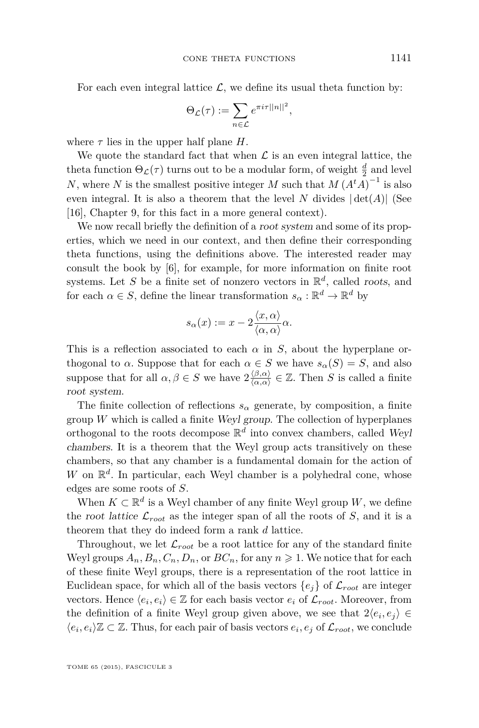For each even integral lattice  $\mathcal{L}$ , we define its usual theta function by:

$$
\Theta_{\mathcal{L}}(\tau) := \sum_{n \in \mathcal{L}} e^{\pi i \tau ||n||^2},
$$

where  $\tau$  lies in the upper half plane  $H$ .

We quote the standard fact that when  $\mathcal L$  is an even integral lattice, the theta function  $\Theta_{\mathcal{L}}(\tau)$  turns out to be a modular form, of weight  $\frac{d}{2}$  and level *N*, where *N* is the smallest positive integer *M* such that  $M(A<sup>t</sup>A)^{-1}$  is also even integral. It is also a theorem that the level *N* divides  $|\det(A)|$  (See [\[16\]](#page-18-0), Chapter 9, for this fact in a more general context).

We now recall briefly the definition of a *root system* and some of its properties, which we need in our context, and then define their corresponding theta functions, using the definitions above. The interested reader may consult the book by [\[6\]](#page-18-0), for example, for more information on finite root systems. Let *S* be a finite set of nonzero vectors in  $\mathbb{R}^d$ , called *roots*, and for each  $\alpha \in S$ , define the linear transformation  $s_{\alpha} : \mathbb{R}^d \to \mathbb{R}^d$  by

$$
s_{\alpha}(x) := x - 2 \frac{\langle x, \alpha \rangle}{\langle \alpha, \alpha \rangle} \alpha.
$$

This is a reflection associated to each *α* in *S*, about the hyperplane orthogonal to *α*. Suppose that for each  $\alpha \in S$  we have  $s_{\alpha}(S) = S$ , and also suppose that for all  $\alpha, \beta \in S$  we have  $2\frac{\langle \beta, \alpha \rangle}{\langle \alpha, \alpha \rangle}$  $\frac{\langle \beta, \alpha \rangle}{\langle \alpha, \alpha \rangle} \in \mathbb{Z}$ . Then *S* is called a finite root system.

The finite collection of reflections  $s_\alpha$  generate, by composition, a finite group *W* which is called a finite Weyl group. The collection of hyperplanes orthogonal to the roots decompose  $\mathbb{R}^d$  into convex chambers, called Weyl chambers. It is a theorem that the Weyl group acts transitively on these chambers, so that any chamber is a fundamental domain for the action of  $W$  on  $\mathbb{R}^d$ . In particular, each Weyl chamber is a polyhedral cone, whose edges are some roots of *S*.

When  $K \subset \mathbb{R}^d$  is a Weyl chamber of any finite Weyl group W, we define the root lattice  $\mathcal{L}_{root}$  as the integer span of all the roots of *S*, and it is a theorem that they do indeed form a rank *d* lattice.

Throughout, we let  $\mathcal{L}_{root}$  be a root lattice for any of the standard finite Weyl groups  $A_n$ ,  $B_n$ ,  $C_n$ ,  $D_n$ , or  $BC_n$ , for any  $n \geq 1$ . We notice that for each of these finite Weyl groups, there is a representation of the root lattice in Euclidean space, for which all of the basis vectors  $\{e_i\}$  of  $\mathcal{L}_{root}$  are integer vectors. Hence  $\langle e_i, e_i \rangle \in \mathbb{Z}$  for each basis vector  $e_i$  of  $\mathcal{L}_{root}$ . Moreover, from the definition of a finite Weyl group given above, we see that  $2\langle e_i, e_j \rangle \in$  $\langle e_i, e_i \rangle \mathbb{Z}$  ⊂  $\mathbb{Z}$ . Thus, for each pair of basis vectors  $e_i, e_j$  of  $\mathcal{L}_{root}$ , we conclude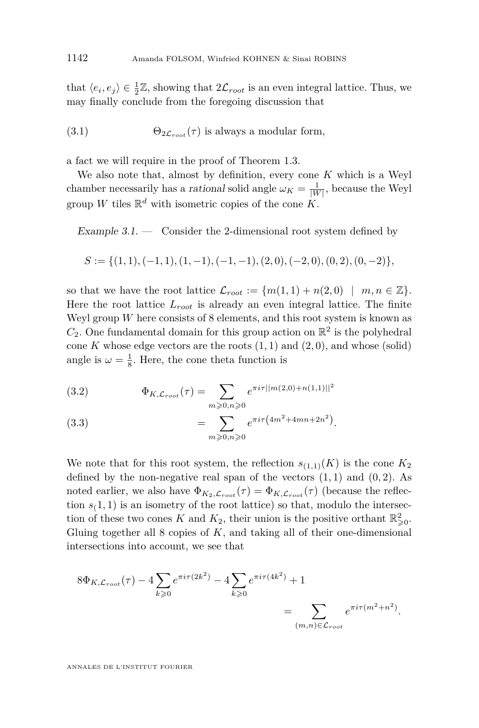<span id="page-10-0"></span>that  $\langle e_i, e_j \rangle \in \frac{1}{2}\mathbb{Z}$ , showing that  $2\mathcal{L}_{root}$  is an even integral lattice. Thus, we may finally conclude from the foregoing discussion that

(3.1) 
$$
\Theta_{2\mathcal{L}_{root}}(\tau) \text{ is always a modular form,}
$$

a fact we will require in the proof of Theorem [1.3.](#page-4-0)

We also note that, almost by definition, every cone *K* which is a Weyl chamber necessarily has a *rational* solid angle  $\omega_K = \frac{1}{|W|}$ , because the Weyl group *W* tiles  $\mathbb{R}^d$  with isometric copies of the cone  $K$ .

Example  $3.1.$  — Consider the 2-dimensional root system defined by

$$
S := \{ (1,1), (-1,1), (1,-1), (-1,-1), (2,0), (-2,0), (0,2), (0,-2) \},
$$

so that we have the root lattice  $\mathcal{L}_{root} := \{m(1,1) + n(2,0) \mid m, n \in \mathbb{Z}\}.$ Here the root lattice *Lroot* is already an even integral lattice. The finite Weyl group  $W$  here consists of  $8$  elements, and this root system is known as  $C_2$ . One fundamental domain for this group action on  $\mathbb{R}^2$  is the polyhedral cone  $K$  whose edge vectors are the roots  $(1, 1)$  and  $(2, 0)$ , and whose (solid) angle is  $\omega = \frac{1}{8}$ . Here, the cone theta function is

(3.2) 
$$
\Phi_{K,\mathcal{L}_{root}}(\tau) = \sum_{m \geqslant 0, n \geqslant 0} e^{\pi i \tau ||m(2,0) + n(1,1)||^2}
$$

(3.3) 
$$
= \sum_{m \geqslant 0, n \geqslant 0} e^{\pi i \tau \left(4m^2 + 4mn + 2n^2\right)}.
$$

We note that for this root system, the reflection  $s_{(1,1)}(K)$  is the cone  $K_2$ defined by the non-negative real span of the vectors  $(1, 1)$  and  $(0, 2)$ . As noted earlier, we also have  $\Phi_{K_2,\mathcal{L}_{root}}(\tau) = \Phi_{K,\mathcal{L}_{root}}(\tau)$  (because the reflection  $s(1, 1)$  is an isometry of the root lattice) so that, modulo the intersection of these two cones *K* and  $K_2$ , their union is the positive orthant  $\mathbb{R}^2_{\geq 0}$ . Gluing together all 8 copies of *K*, and taking all of their one-dimensional intersections into account, we see that

$$
8\Phi_{K,\mathcal{L}_{root}}(\tau) - 4\sum_{k \ge 0} e^{\pi i \tau (2k^2)} - 4\sum_{k \ge 0} e^{\pi i \tau (4k^2)} + 1
$$
  
= 
$$
\sum_{(m,n) \in \mathcal{L}_{root}} e^{\pi i \tau (m^2 + n^2)}.
$$

ANNALES DE L'INSTITUT FOURIER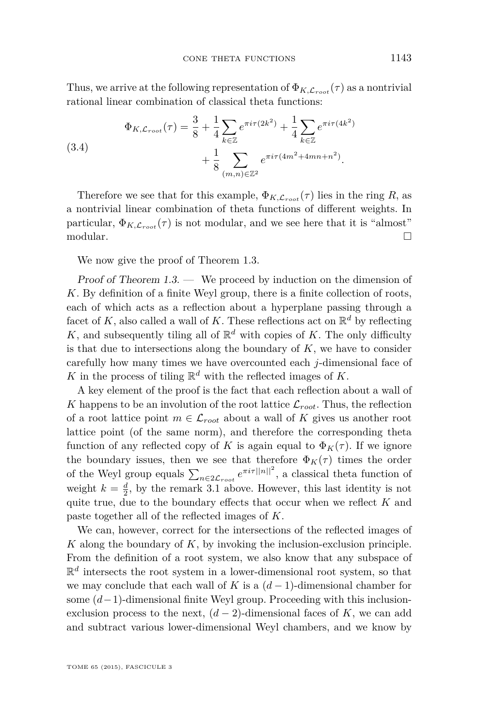Thus, we arrive at the following representation of  $\Phi_{K,\mathcal{L}_{root}}(\tau)$  as a nontrivial rational linear combination of classical theta functions:

(3.4)  
\n
$$
\Phi_{K,\mathcal{L}_{root}}(\tau) = \frac{3}{8} + \frac{1}{4} \sum_{k \in \mathbb{Z}} e^{\pi i \tau (2k^2)} + \frac{1}{4} \sum_{k \in \mathbb{Z}} e^{\pi i \tau (4k^2)} + \frac{1}{8} \sum_{(m,n) \in \mathbb{Z}^2} e^{\pi i \tau (4m^2 + 4mn + n^2)}.
$$

Therefore we see that for this example,  $\Phi_{K,\mathcal{L}_{root}}(\tau)$  lies in the ring R, as a nontrivial linear combination of theta functions of different weights. In particular,  $\Phi_{K,\mathcal{L}_{root}}(\tau)$  is not modular, and we see here that it is "almost"  $\Box$ modular.  $\Box$ 

We now give the proof of Theorem [1.3.](#page-4-0)

Proof of Theorem  $1.3.$  — We proceed by induction on the dimension of *K*. By definition of a finite Weyl group, there is a finite collection of roots, each of which acts as a reflection about a hyperplane passing through a facet of  $K$ , also called a wall of  $K$ . These reflections act on  $\mathbb{R}^d$  by reflecting K, and subsequently tiling all of  $\mathbb{R}^d$  with copies of K. The only difficulty is that due to intersections along the boundary of  $K$ , we have to consider carefully how many times we have overcounted each *j*-dimensional face of *K* in the process of tiling  $\mathbb{R}^d$  with the reflected images of *K*.

A key element of the proof is the fact that each reflection about a wall of *K* happens to be an involution of the root lattice  $\mathcal{L}_{root}$ . Thus, the reflection of a root lattice point  $m \in \mathcal{L}_{root}$  about a wall of K gives us another root lattice point (of the same norm), and therefore the corresponding theta function of any reflected copy of *K* is again equal to  $\Phi_K(\tau)$ . If we ignore the boundary issues, then we see that therefore  $\Phi_K(\tau)$  times the order of the Weyl group equals  $\sum_{n\in 2\mathcal{L}_{root}} e^{\pi i \tau ||n||^2}$ , a classical theta function of weight  $k = \frac{d}{2}$ , by the remark [3.1](#page-10-0) above. However, this last identity is not quite true, due to the boundary effects that occur when we reflect *K* and paste together all of the reflected images of *K*.

We can, however, correct for the intersections of the reflected images of *K* along the boundary of *K*, by invoking the inclusion-exclusion principle. From the definition of a root system, we also know that any subspace of  $\mathbb{R}^d$  intersects the root system in a lower-dimensional root system, so that we may conclude that each wall of *K* is a  $(d-1)$ -dimensional chamber for some (*d*−1)-dimensional finite Weyl group. Proceeding with this inclusionexclusion process to the next,  $(d-2)$ -dimensional faces of K, we can add and subtract various lower-dimensional Weyl chambers, and we know by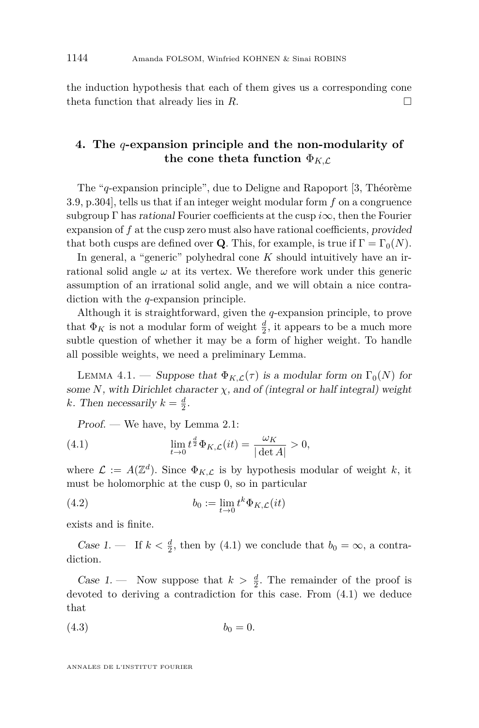<span id="page-12-0"></span>the induction hypothesis that each of them gives us a corresponding cone theta function that already lies in  $R$ .

#### **4. The** *q***-expansion principle and the non-modularity of the cone theta function**  $\Phi_{K,\mathcal{L}}$

The "*q*-expansion principle", due to Deligne and Rapoport [\[3,](#page-17-0) Théorème 3.9, p.304], tells us that if an integer weight modular form *f* on a congruence subgroup Γ has rational Fourier coefficients at the cusp *i*∞, then the Fourier expansion of *f* at the cusp zero must also have rational coefficients, provided that both cusps are defined over **Q**. This, for example, is true if  $\Gamma = \Gamma_0(N)$ .

In general, a "generic" polyhedral cone *K* should intuitively have an irrational solid angle  $\omega$  at its vertex. We therefore work under this generic assumption of an irrational solid angle, and we will obtain a nice contradiction with the *q*-expansion principle.

Although it is straightforward, given the *q*-expansion principle, to prove that  $\Phi_K$  is not a modular form of weight  $\frac{d}{2}$ , it appears to be a much more subtle question of whether it may be a form of higher weight. To handle all possible weights, we need a preliminary Lemma.

LEMMA 4.1. — Suppose that  $\Phi_{K,\mathcal{L}}(\tau)$  is a modular form on  $\Gamma_0(N)$  for some  $N$ , with Dirichlet character  $\chi$ , and of (integral or half integral) weight *k*. Then necessarily  $k = \frac{d}{2}$ .

Proof. — We have, by Lemma [2.1:](#page-7-0)

(4.1) 
$$
\lim_{t \to 0} t^{\frac{d}{2}} \Phi_{K,\mathcal{L}}(it) = \frac{\omega_K}{|\det A|} > 0,
$$

where  $\mathcal{L} := A(\mathbb{Z}^d)$ . Since  $\Phi_{K,\mathcal{L}}$  is by hypothesis modular of weight k, it must be holomorphic at the cusp 0, so in particular

(4.2) 
$$
b_0 := \lim_{t \to 0} t^k \Phi_{K,\mathcal{L}}(it)
$$

exists and is finite.

Case 1. — If  $k < \frac{d}{2}$ , then by (4.1) we conclude that  $b_0 = \infty$ , a contradiction.

Case 1. — Now suppose that  $k > \frac{d}{2}$ . The remainder of the proof is devoted to deriving a contradiction for this case. From (4.1) we deduce that

$$
(4.3) \t\t b_0 = 0.
$$

ANNALES DE L'INSTITUT FOURIER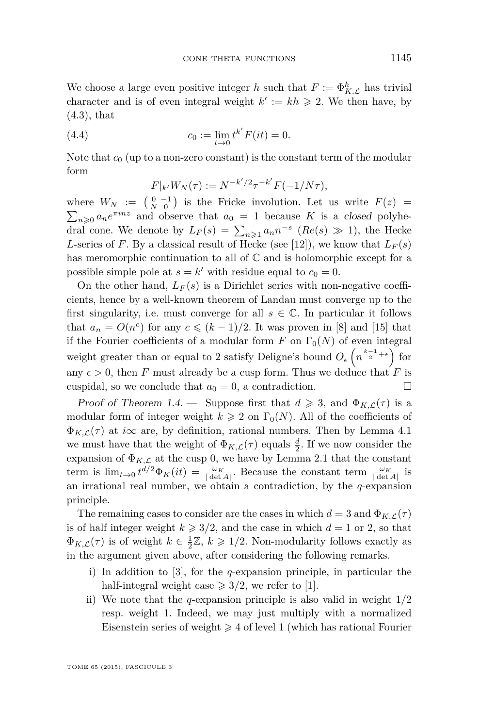We choose a large even positive integer *h* such that  $F := \Phi_{K,\mathcal{L}}^h$  has trivial character and is of even integral weight  $k' := kh \geq 2$ . We then have, by [\(4.3\)](#page-12-0), that

(4.4) 
$$
c_0 := \lim_{t \to 0} t^{k'} F(it) = 0.
$$

Note that  $c_0$  (up to a non-zero constant) is the constant term of the modular form

$$
F|_{k'}W_N(\tau) := N^{-k'/2}\tau^{-k'}F(-1/N\tau),
$$

where  $W_N := \begin{pmatrix} 0 & -1 \\ N & 0 \end{pmatrix}$  is the Fricke involution. Let us write  $F(z) =$  $\sum_{n\geqslant 0} a_n e^{\pi i n z}$  and observe that  $a_0 = 1$  because *K* is a closed polyhedral cone. We denote by  $L_F(s) = \sum_{n \geq 1} a_n n^{-s}$  ( $Re(s) \gg 1$ ), the Hecke *L*-series of *F*. By a classical result of Hecke (see [\[12\]](#page-18-0)), we know that  $L_F(s)$ has meromorphic continuation to all of  $\mathbb C$  and is holomorphic except for a possible simple pole at  $s = k'$  with residue equal to  $c_0 = 0$ .

On the other hand,  $L_F(s)$  is a Dirichlet series with non-negative coefficients, hence by a well-known theorem of Landau must converge up to the first singularity, i.e. must converge for all  $s \in \mathbb{C}$ . In particular it follows that  $a_n = O(n^c)$  for any  $c \le (k-1)/2$ . It was proven in [\[8\]](#page-18-0) and [\[15\]](#page-18-0) that if the Fourier coefficients of a modular form  $F$  on  $\Gamma_0(N)$  of even integral weight greater than or equal to 2 satisfy Deligne's bound  $O_{\epsilon}\left(n^{\frac{k-1}{2}+\epsilon}\right)$  for any  $\epsilon > 0$ , then *F* must already be a cusp form. Thus we deduce that *F* is cuspidal, so we conclude that  $a_0 = 0$ , a contradiction.

Proof of Theorem [1.4.](#page-5-0) — Suppose first that  $d \geq 3$ , and  $\Phi_{K,\mathcal{L}}(\tau)$  is a modular form of integer weight  $k \geq 2$  on  $\Gamma_0(N)$ . All of the coefficients of  $\Phi_{K,\mathcal{L}}(\tau)$  at *i* $\infty$  are, by definition, rational numbers. Then by Lemma [4.1](#page-12-0) we must have that the weight of  $\Phi_{K,\mathcal{L}}(\tau)$  equals  $\frac{d}{2}$ . If we now consider the expansion of  $\Phi_{K,\mathcal{L}}$  at the cusp 0, we have by Lemma [2.1](#page-7-0) that the constant term is  $\lim_{t\to 0} t^{d/2} \Phi_K(it) = \frac{\omega_K}{|\det A|}$ . Because the constant term  $\frac{\omega_K}{|\det A|}$  is an irrational real number, we obtain a contradiction, by the *q*-expansion principle.

The remaining cases to consider are the cases in which  $d = 3$  and  $\Phi_{K,\mathcal{L}}(\tau)$ is of half integer weight  $k \geq 3/2$ , and the case in which  $d = 1$  or 2, so that  $\Phi_{K,\mathcal{L}}(\tau)$  is of weight  $k \in \frac{1}{2}\mathbb{Z}, k \geq 1/2$ . Non-modularity follows exactly as in the argument given above, after considering the following remarks.

- i) In addition to [\[3\]](#page-17-0), for the *q*-expansion principle, in particular the half-integral weight case  $\geq 3/2$ , we refer to [\[1\]](#page-17-0).
- ii) We note that the *q*-expansion principle is also valid in weight 1/2 resp. weight 1. Indeed, we may just multiply with a normalized Eisenstein series of weight  $\geq 4$  of level 1 (which has rational Fourier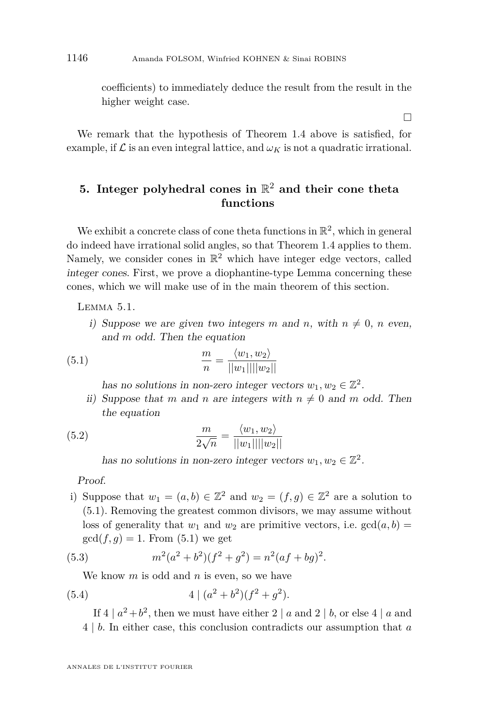<span id="page-14-0"></span>coefficients) to immediately deduce the result from the result in the higher weight case.

 $\Box$ 

We remark that the hypothesis of Theorem [1.4](#page-5-0) above is satisfied, for example, if  $\mathcal L$  is an even integral lattice, and  $\omega_K$  is not a quadratic irrational.

#### **5. Integer polyhedral cones in** R <sup>2</sup> **and their cone theta functions**

We exhibit a concrete class of cone theta functions in  $\mathbb{R}^2$ , which in general do indeed have irrational solid angles, so that Theorem [1.4](#page-5-0) applies to them. Namely, we consider cones in  $\mathbb{R}^2$  which have integer edge vectors, called integer cones. First, we prove a diophantine-type Lemma concerning these cones, which we will make use of in the main theorem of this section.

Lemma 5.1.

i) Suppose we are given two integers m and n, with  $n \neq 0$ , n even, and *m* odd. Then the equation

(5.1) 
$$
\frac{m}{n} = \frac{\langle w_1, w_2 \rangle}{||w_1|| ||w_2||}
$$

has no solutions in non-zero integer vectors  $w_1, w_2 \in \mathbb{Z}^2$ .

ii) Suppose that *m* and *n* are integers with  $n \neq 0$  and *m* odd. Then the equation

(5.2) 
$$
\frac{m}{2\sqrt{n}} = \frac{\langle w_1, w_2 \rangle}{||w_1|| ||w_2||}
$$

has no solutions in non-zero integer vectors  $w_1, w_2 \in \mathbb{Z}^2$ .

Proof.

i) Suppose that  $w_1 = (a, b) \in \mathbb{Z}^2$  and  $w_2 = (f, g) \in \mathbb{Z}^2$  are a solution to (5.1). Removing the greatest common divisors, we may assume without loss of generality that  $w_1$  and  $w_2$  are primitive vectors, i.e.  $gcd(a, b)$  $gcd(f, g) = 1$ . From  $(5.1)$  we get

(5.3) 
$$
m^2(a^2+b^2)(f^2+g^2)=n^2(af+bg)^2.
$$

We know *m* is odd and *n* is even, so we have

(5.4) 
$$
4|(a^2+b^2)(f^2+g^2).
$$

If  $4 | a^2 + b^2$ , then we must have either  $2 | a$  and  $2 | b$ , or else  $4 | a$  and 4 | *b*. In either case, this conclusion contradicts our assumption that *a*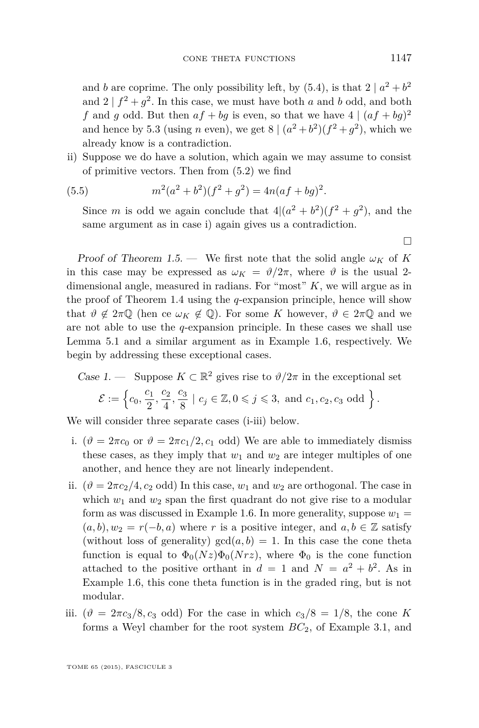and *b* are coprime. The only possibility left, by  $(5.4)$ , is that  $2 | a^2 + b^2$ and  $2 | f^2 + g^2$ . In this case, we must have both *a* and *b* odd, and both f and g odd. But then  $af + bg$  is even, so that we have  $4 | (af + bg)^2$ and hence by [5.3](#page-14-0) (using *n* even), we get  $8 \mid (a^2 + b^2)(f^2 + g^2)$ , which we already know is a contradiction.

ii) Suppose we do have a solution, which again we may assume to consist of primitive vectors. Then from [\(5.2\)](#page-14-0) we find

(5.5) 
$$
m^2(a^2+b^2)(f^2+g^2)=4n(af+bg)^2.
$$

Since *m* is odd we again conclude that  $4|(a^2 + b^2)(f^2 + g^2)$ , and the same argument as in case i) again gives us a contradiction.

Proof of Theorem [1.5.](#page-5-0) — We first note that the solid angle  $\omega_K$  of K in this case may be expressed as  $\omega_K = \vartheta/2\pi$ , where  $\vartheta$  is the usual 2dimensional angle, measured in radians. For "most" *K*, we will argue as in the proof of Theorem [1.4](#page-5-0) using the *q*-expansion principle, hence will show that  $\vartheta \notin 2\pi\mathbb{Q}$  (hen ce  $\omega_K \notin \mathbb{Q}$ ). For some *K* however,  $\vartheta \in 2\pi\mathbb{Q}$  and we are not able to use the *q*-expansion principle. In these cases we shall use Lemma [5.1](#page-14-0) and a similar argument as in Example [1.6,](#page-6-0) respectively. We begin by addressing these exceptional cases.

Case 1. — Suppose 
$$
K \subset \mathbb{R}^2
$$
 gives rise to  $\vartheta/2\pi$  in the exceptional set  
\n
$$
\mathcal{E} := \left\{c_0, \frac{c_1}{2}, \frac{c_2}{4}, \frac{c_3}{8} \mid c_j \in \mathbb{Z}, 0 \leq j \leq 3, \text{ and } c_1, c_2, c_3 \text{ odd} \right\}.
$$

We will consider three separate cases (i-iii) below.

- i.  $(\vartheta = 2\pi c_0 \text{ or } \vartheta = 2\pi c_1/2, c_1 \text{ odd})$  We are able to immediately dismiss these cases, as they imply that  $w_1$  and  $w_2$  are integer multiples of one another, and hence they are not linearly independent.
- ii.  $(\vartheta = 2\pi c_2/4, c_2 \text{ odd})$  In this case,  $w_1$  and  $w_2$  are orthogonal. The case in which  $w_1$  and  $w_2$  span the first quadrant do not give rise to a modular form as was discussed in Example [1.6.](#page-6-0) In more generality, suppose  $w_1 =$  $(a, b), w_2 = r(-b, a)$  where *r* is a positive integer, and  $a, b \in \mathbb{Z}$  satisfy (without loss of generality)  $gcd(a, b) = 1$ . In this case the cone theta function is equal to  $\Phi_0(Nz)\Phi_0(Nrz)$ , where  $\Phi_0$  is the cone function attached to the positive orthant in  $d = 1$  and  $N = a^2 + b^2$ . As in Example [1.6,](#page-6-0) this cone theta function is in the graded ring, but is not modular.
- iii. ( $\vartheta = 2\pi c_3/8$ , *c*<sub>3</sub> odd) For the case in which  $c_3/8 = 1/8$ , the cone K forms a Weyl chamber for the root system *BC*2, of Example [3.1,](#page-10-0) and

 $\Box$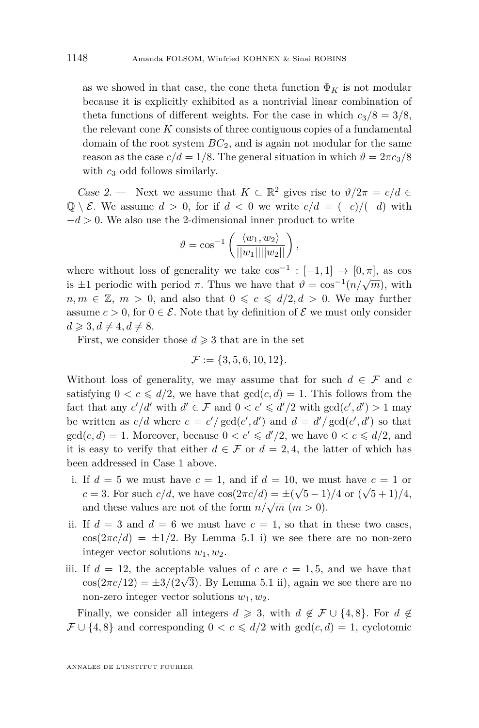as we showed in that case, the cone theta function  $\Phi_K$  is not modular because it is explicitly exhibited as a nontrivial linear combination of theta functions of different weights. For the case in which  $c_3/8 = 3/8$ , the relevant cone *K* consists of three contiguous copies of a fundamental domain of the root system *BC*2, and is again not modular for the same reason as the case  $c/d = 1/8$ . The general situation in which  $\vartheta = 2\pi c_3/8$ with  $c_3$  odd follows similarly.

Case 2. — Next we assume that  $K \subset \mathbb{R}^2$  gives rise to  $\vartheta/2\pi = c/d \in$ Q \  $\mathcal{E}$ . We assume  $d > 0$ , for if  $d < 0$  we write  $c/d = (-c)/(-d)$  with −*d >* 0. We also use the 2-dimensional inner product to write

$$
\vartheta = \cos^{-1}\left(\frac{\langle w_1, w_2 \rangle}{\|\langle w_1 \rangle\| \|\langle w_2 \rangle\|}\right),
$$

where without loss of generality we take  $\cos^{-1}: [-1,1] \to [0,\pi]$ , as  $\cos$ is ±1 periodic with period  $\pi$ . Thus we have that  $\vartheta = \cos^{-1}(n/\sqrt{m})$ , with  $n, m \in \mathbb{Z}, m > 0$ , and also that  $0 \leqslant c \leqslant d/2, d > 0$ . We may further assume  $c > 0$ , for  $0 \in \mathcal{E}$ . Note that by definition of  $\mathcal{E}$  we must only consider  $d \geqslant 3, d \neq 4, d \neq 8.$ 

First, we consider those  $d \geq 3$  that are in the set

$$
\mathcal{F} := \{3, 5, 6, 10, 12\}.
$$

Without loss of generality, we may assume that for such  $d \in \mathcal{F}$  and  $c$ satisfying  $0 < c \le d/2$ , we have that  $gcd(c, d) = 1$ . This follows from the fact that any  $c'/d'$  with  $d' \in \mathcal{F}$  and  $0 < c' \leq d'/2$  with  $gcd(c', d') > 1$  may be written as  $c/d$  where  $c = c'/\gcd(c', d')$  and  $d = d'/\gcd(c', d')$  so that  $gcd(c, d) = 1$ . Moreover, because  $0 < c' \le d'/2$ , we have  $0 < c \le d/2$ , and it is easy to verify that either  $d \in \mathcal{F}$  or  $d = 2, 4$ , the latter of which has been addressed in Case 1 above.

- i. If  $d = 5$  we must have  $c = 1$ , and if  $d = 10$ , we must have  $c = 1$  or *c* = 3. For such *c/d*, we have  $\cos(2\pi c/d) = \pm(\sqrt{5}-1)/4$  or  $(\sqrt{5}+1)/4$ , and these values are not of the form  $n/\sqrt{m}$   $(m > 0)$ .
- ii. If  $d = 3$  and  $d = 6$  we must have  $c = 1$ , so that in these two cases,  $cos(2\pi c/d) = \pm 1/2$ . By Lemma [5.1](#page-14-0) i) we see there are no non-zero integer vector solutions  $w_1, w_2$ .
- iii. If  $d = 12$ , the acceptable values of  $c$  are  $c = 1, 5$ , and we have that  $acsc(2\pi c/12) = \pm 3/(2\sqrt{3})$ . By Lemma [5.1](#page-14-0) ii), again we see there are no non-zero integer vector solutions *w*1*, w*2.

Finally, we consider all integers  $d \geq 3$ , with  $d \notin \mathcal{F} \cup \{4, 8\}$ . For  $d \notin$  $\mathcal{F} \cup \{4, 8\}$  and corresponding  $0 < c \leq d/2$  with  $gcd(c, d) = 1$ , cyclotomic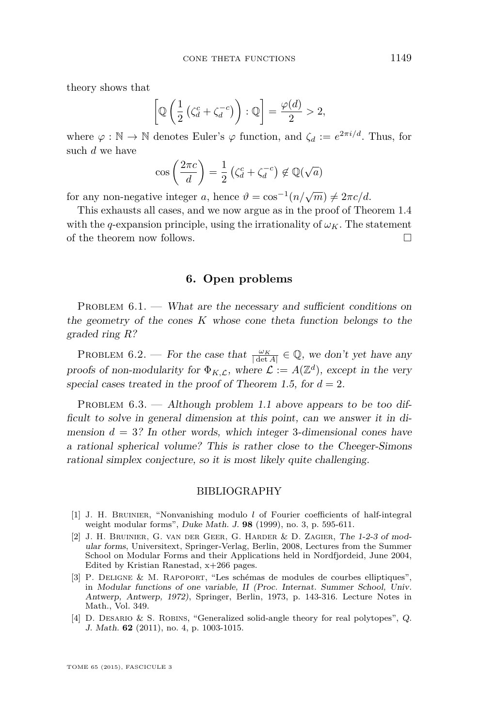<span id="page-17-0"></span>theory shows that

$$
\left[\mathbb{Q}\left(\frac{1}{2}\left(\zeta_d^c + \zeta_d^{-c}\right)\right) : \mathbb{Q}\right] = \frac{\varphi(d)}{2} > 2,
$$

where  $\varphi : \mathbb{N} \to \mathbb{N}$  denotes Euler's  $\varphi$  function, and  $\zeta_d := e^{2\pi i/d}$ . Thus, for such *d* we have

$$
\cos\left(\frac{2\pi c}{d}\right) = \frac{1}{2}\left(\zeta_d^c + \zeta_d^{-c}\right) \notin \mathbb{Q}(\sqrt{a})
$$

for any non-negative integer *a*, hence  $\vartheta = \cos^{-1}(n/\sqrt{m}) \neq 2\pi c/d$ .

This exhausts all cases, and we now argue as in the proof of Theorem [1.4](#page-5-0) with the *q*-expansion principle, using the irrationality of  $\omega_K$ . The statement of the theorem now follows.

**6. Open problems**

PROBLEM  $6.1.$  — What are the necessary and sufficient conditions on the geometry of the cones *K* whose cone theta function belongs to the graded ring *R*?

PROBLEM 6.2. — For the case that  $\frac{\omega_K}{|\det A|} \in \mathbb{Q}$ , we don't yet have any proofs of non-modularity for  $\Phi_{K,\mathcal{L}}$ , where  $\mathcal{L} := A(\mathbb{Z}^d)$ , except in the very special cases treated in the proof of Theorem [1.5,](#page-5-0) for  $d = 2$ .

PROBLEM  $6.3.$  — Although problem [1.1](#page-2-0) above appears to be too difficult to solve in general dimension at this point, can we answer it in dimension  $d = 3$ ? In other words, which integer 3-dimensional cones have a rational spherical volume? This is rather close to the Cheeger-Simons rational simplex conjecture, so it is most likely quite challenging.

#### BIBLIOGRAPHY

- [1] J. H. BRUINIER, "Nonvanishing modulo *l* of Fourier coefficients of half-integral weight modular forms", Duke Math. J. **98** (1999), no. 3, p. 595-611.
- [2] J. H. Bruinier, G. van der Geer, G. Harder & D. Zagier, The 1-2-3 of modular forms, Universitext, Springer-Verlag, Berlin, 2008, Lectures from the Summer School on Modular Forms and their Applications held in Nordfjordeid, June 2004, Edited by Kristian Ranestad, x+266 pages.
- [3] P. Deligne & M. Rapoport, "Les schémas de modules de courbes elliptiques", in Modular functions of one variable, II (Proc. Internat. Summer School, Univ. Antwerp, Antwerp, 1972), Springer, Berlin, 1973, p. 143-316. Lecture Notes in Math., Vol. 349.
- [4] D. Desario & S. Robins, "Generalized solid-angle theory for real polytopes", Q. J. Math. **62** (2011), no. 4, p. 1003-1015.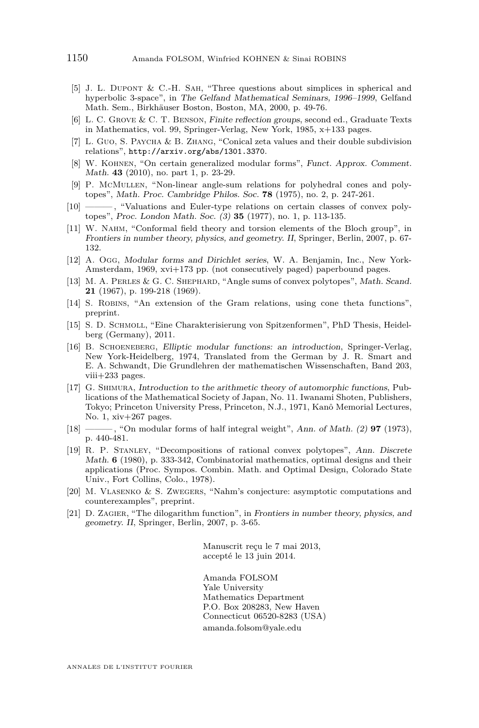- <span id="page-18-0"></span>[5] J. L. Dupont & C.-H. Sah, "Three questions about simplices in spherical and hyperbolic 3-space", in The Gelfand Mathematical Seminars, 1996–1999, Gelfand Math. Sem., Birkhäuser Boston, Boston, MA, 2000, p. 49-76.
- [6] L. C. Grove & C. T. Benson, Finite reflection groups, second ed., Graduate Texts in Mathematics, vol. 99, Springer-Verlag, New York, 1985, x+133 pages.
- [7] L. GUO, S. PAYCHA & B. ZHANG, "Conical zeta values and their double subdivision relations", <http://arxiv.org/abs/1301.3370>.
- [8] W. Kohnen, "On certain generalized modular forms", Funct. Approx. Comment. Math. **43** (2010), no. part 1, p. 23-29.
- [9] P. McMullen, "Non-linear angle-sum relations for polyhedral cones and polytopes", Math. Proc. Cambridge Philos. Soc. **78** (1975), no. 2, p. 247-261.
- [10] ——— , "Valuations and Euler-type relations on certain classes of convex polytopes", Proc. London Math. Soc. (3) **35** (1977), no. 1, p. 113-135.
- [11] W. Nahm, "Conformal field theory and torsion elements of the Bloch group", in Frontiers in number theory, physics, and geometry. II, Springer, Berlin, 2007, p. 67- 132.
- [12] A. Ogg, Modular forms and Dirichlet series, W. A. Benjamin, Inc., New York-Amsterdam, 1969, xvi+173 pp. (not consecutively paged) paperbound pages.
- [13] M. A. Perles & G. C. Shephard, "Angle sums of convex polytopes", Math. Scand. **21** (1967), p. 199-218 (1969).
- [14] S. Robins, "An extension of the Gram relations, using cone theta functions", preprint.
- [15] S. D. Schmoll, "Eine Charakterisierung von Spitzenformen", PhD Thesis, Heidelberg (Germany), 2011.
- [16] B. Schoeneberg, Elliptic modular functions: an introduction, Springer-Verlag, New York-Heidelberg, 1974, Translated from the German by J. R. Smart and E. A. Schwandt, Die Grundlehren der mathematischen Wissenschaften, Band 203, viii+233 pages.
- [17] G. Shimura, Introduction to the arithmetic theory of automorphic functions, Publications of the Mathematical Society of Japan, No. 11. Iwanami Shoten, Publishers, Tokyo; Princeton University Press, Princeton, N.J., 1971, Kanô Memorial Lectures, No. 1, xiv+267 pages.
- [18] ——— , "On modular forms of half integral weight", Ann. of Math. (2) **97** (1973), p. 440-481.
- [19] R. P. Stanley, "Decompositions of rational convex polytopes", Ann. Discrete Math. **6** (1980), p. 333-342, Combinatorial mathematics, optimal designs and their applications (Proc. Sympos. Combin. Math. and Optimal Design, Colorado State Univ., Fort Collins, Colo., 1978).
- [20] M. Vlasenko & S. Zwegers, "Nahm's conjecture: asymptotic computations and counterexamples", preprint.
- [21] D. ZAGIER, "The dilogarithm function", in Frontiers in number theory, physics, and geometry. II, Springer, Berlin, 2007, p. 3-65.

Manuscrit reçu le 7 mai 2013, accepté le 13 juin 2014.

Amanda FOLSOM Yale University Mathematics Department P.O. Box 208283, New Haven Connecticut 06520-8283 (USA) [amanda.folsom@yale.edu](mailto:amanda.folsom@yale.edu)